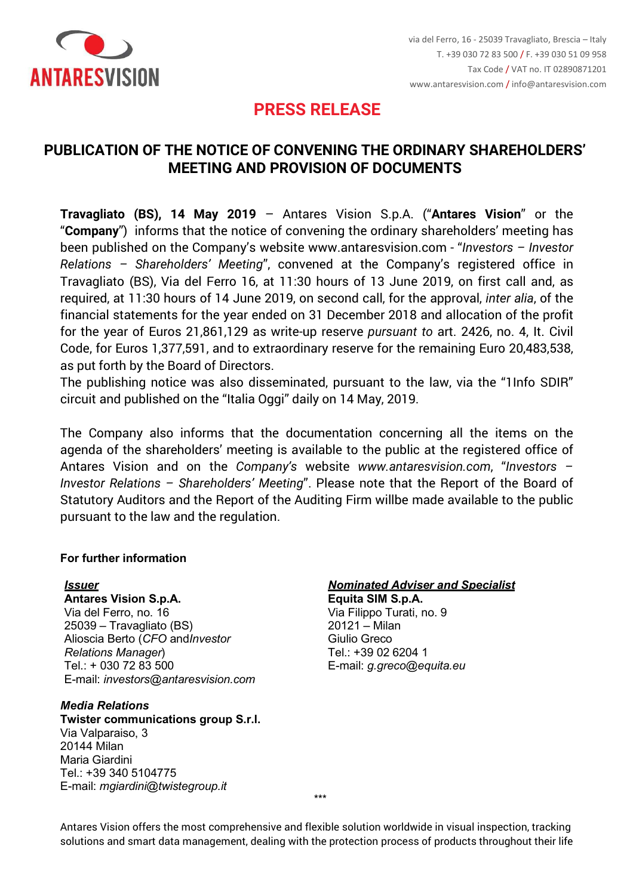

# **PRESS RELEASE**

# **PUBLICATION OF THE NOTICE OF CONVENING THE ORDINARY SHAREHOLDERS' MEETING AND PROVISION OF DOCUMENTS**

**Travagliato (BS), 14 May 2019** – Antares Vision S.p.A. ("**Antares Vision**" or the "**Company**") informs that the notice of convening the ordinary shareholders' meeting has been published on the Company's website www.antaresvision.com - "*Investors – Investor Relations – Shareholders' Meeting*", convened at the Company's registered office in Travagliato (BS), Via del Ferro 16, at 11:30 hours of 13 June 2019, on first call and, as required, at 11:30 hours of 14 June 2019, on second call, for the approval, *inter alia*, of the financial statements for the year ended on 31 December 2018 and allocation of the profit for the year of Euros 21,861,129 as write-up reserve *pursuant to* art. 2426, no. 4, It. Civil Code, for Euros 1,377,591, and to extraordinary reserve for the remaining Euro 20,483,538, as put forth by the Board of Directors.

The publishing notice was also disseminated, pursuant to the law, via the "1Info SDIR" circuit and published on the "Italia Oggi" daily on 14 May, 2019.

The Company also informs that the documentation concerning all the items on the agenda of the shareholders' meeting is available to the public at the registered office of Antares Vision and on the *Company's* website *[www.antaresvision.com](http://www.antaresvision.com/)*, "*Investors – Investor Relations – Shareholders' Meeting*". Please note that the Report of the Board of Statutory Auditors and the Report of the Auditing Firm willbe made available to the public pursuant to the law and the regulation.

## **For further information**

#### *Issuer*

**Antares Vision S.p.A.** Via del Ferro, no. 16 25039 – Travagliato (BS) Alioscia Berto (*CFO* and*Investor Relations Manager*) Tel.: + 030 72 83 500 E-mail: *[investors@antaresvision.com](mailto:investors@antaresvision.com)*

### *Media Relations*

**Twister communications group S.r.l.** Via Valparaiso, 3 20144 Milan Maria Giardini Tel.: +39 340 5104775 E-mail: *[mgiardini@twistegroup.it](mailto:mgiardini@twistegroup.it)*

## *Nominated Adviser and Specialist*

**Equita SIM S.p.A.** Via Filippo Turati, no. 9 20121 – Milan Giulio Greco Tel.: +39 02 6204 1 E-mail: *[g.greco@equita.eu](mailto:g.greco@equita.eu)*

\*\*\*

Antares Vision offers the most comprehensive and flexible solution worldwide in visual inspection, tracking solutions and smart data management, dealing with the protection process of products throughout their life